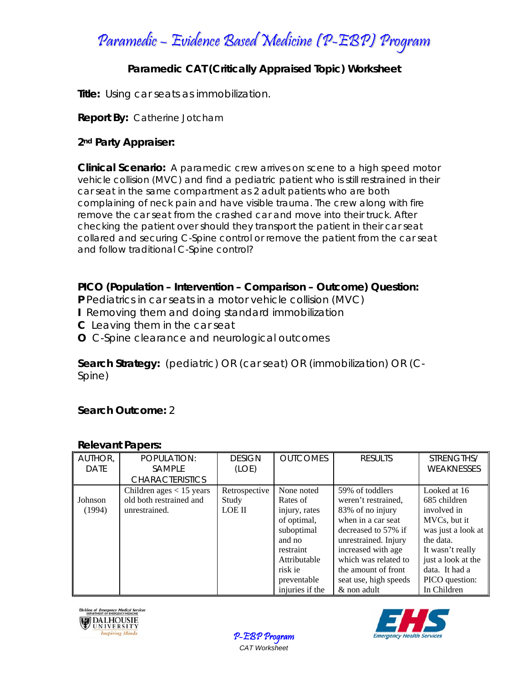Paramedic – Evidence Based Medicine (P-EBP) Program

# **Paramedic CAT (Critically Appraised Topic) Worksheet**

**Title:** Using car seats as immobilization.

### **Report By:** Catherine Jotcham

## **2nd Party Appraiser:**

**Clinical Scenario:** A paramedic crew arrives on scene to a high speed motor vehicle collision (MVC) and find a pediatric patient who is still restrained in their car seat in the same compartment as 2 adult patients who are both complaining of neck pain and have visible trauma. The crew along with fire remove the car seat from the crashed car and move into their truck. After checking the patient over should they transport the patient in their car seat collared and securing C-Spine control or remove the patient from the car seat and follow traditional C-Spine control?

### **PICO (Population – Intervention – Comparison – Outcome) Question:**

**P** Pediatrics in car seats in a motor vehicle collision (MVC)

- **I** Removing them and doing standard immobilization
- **C** Leaving them in the car seat
- **O** C-Spine clearance and neurological outcomes

**Search Strategy:** (pediatric) OR (car seat) OR (immobilization) OR (C-Spine)

# **Search Outcome:** 2

### **Relevant Papers:**

| AUTHOR,<br><b>DATE</b> | POPULATION:<br><b>SAMPLE</b> | <b>DESIGN</b><br>(LOE) | <b>OUTCOMES</b> | <b>RESULTS</b>        | STRENGTHS/<br><b>WEAKNESSES</b> |
|------------------------|------------------------------|------------------------|-----------------|-----------------------|---------------------------------|
|                        | <b>CHARACTERISTICS</b>       |                        |                 |                       |                                 |
|                        | Children ages $<$ 15 years   | Retrospective          | None noted      | 59% of toddlers       | Looked at 16                    |
| Johnson                | old both restrained and      | Study                  | Rates of        | weren't restrained,   | 685 children                    |
| (1994)                 | unrestrained.                | LOE II                 | injury, rates   | 83% of no injury      | involved in                     |
|                        |                              |                        | of optimal,     | when in a car seat    | MVCs, but it                    |
|                        |                              |                        | suboptimal      | decreased to 57% if   | was just a look at              |
|                        |                              |                        | and no          | unrestrained. Injury  | the data.                       |
|                        |                              |                        | restraint       | increased with age    | It wasn't really                |
|                        |                              |                        | Attributable    | which was related to  | just a look at the              |
|                        |                              |                        | risk ie         | the amount of front   | data. It had a                  |
|                        |                              |                        | preventable     | seat use, high speeds | PICO question:                  |
|                        |                              |                        | injuries if the | & non adult           | In Children                     |





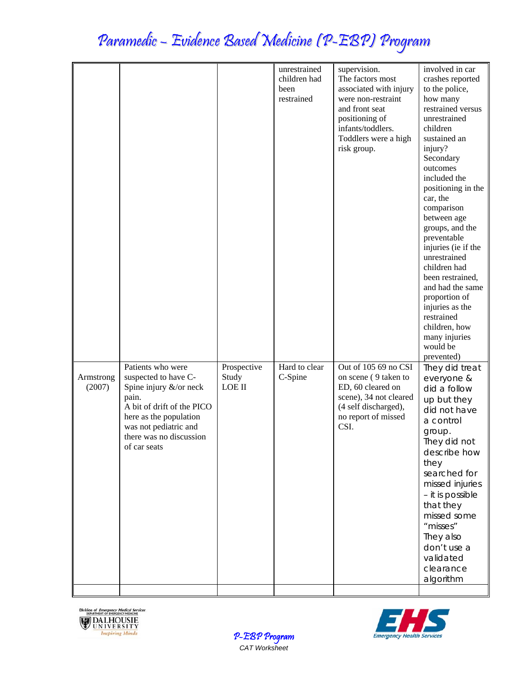# Paramedic – Evidence Based Medicine (P-EBP) Program

|                     |                                                                                                                                                                                                          |                                       | unrestrained<br>children had<br>been<br>restrained | supervision.<br>The factors most<br>associated with injury<br>were non-restraint<br>and front seat<br>positioning of<br>infants/toddlers.<br>Toddlers were a high<br>risk group. | involved in car<br>crashes reported<br>to the police,<br>how many<br>restrained versus<br>unrestrained<br>children<br>sustained an<br>injury?<br>Secondary<br>outcomes<br>included the<br>positioning in the<br>car, the<br>comparison<br>between age<br>groups, and the<br>preventable<br>injuries (ie if the<br>unrestrained<br>children had<br>been restrained,<br>and had the same<br>proportion of<br>injuries as the<br>restrained<br>children, how<br>many injuries |
|---------------------|----------------------------------------------------------------------------------------------------------------------------------------------------------------------------------------------------------|---------------------------------------|----------------------------------------------------|----------------------------------------------------------------------------------------------------------------------------------------------------------------------------------|----------------------------------------------------------------------------------------------------------------------------------------------------------------------------------------------------------------------------------------------------------------------------------------------------------------------------------------------------------------------------------------------------------------------------------------------------------------------------|
| Armstrong<br>(2007) | Patients who were<br>suspected to have C-<br>Spine injury &/or neck<br>pain.<br>A bit of drift of the PICO<br>here as the population<br>was not pediatric and<br>there was no discussion<br>of car seats | Prospective<br>Study<br><b>LOE II</b> | Hard to clear<br>C-Spine                           | Out of 105 69 no CSI<br>on scene (9 taken to<br>ED, 60 cleared on<br>scene), 34 not cleared<br>(4 self discharged),<br>no report of missed<br>CSI.                               | would be<br>prevented)<br>They did treat<br>everyone &<br>did a follow<br>up but they<br>did not have<br>a control<br>group.<br>They did not<br>describe how<br>they<br>searched for<br>missed injuries<br>- it is possible<br>that they<br>missed some<br>"misses"<br>They also<br>don't use a<br>validated<br>clearance<br>algorithm                                                                                                                                     |





P-EBP Program *CAT Worksheet*